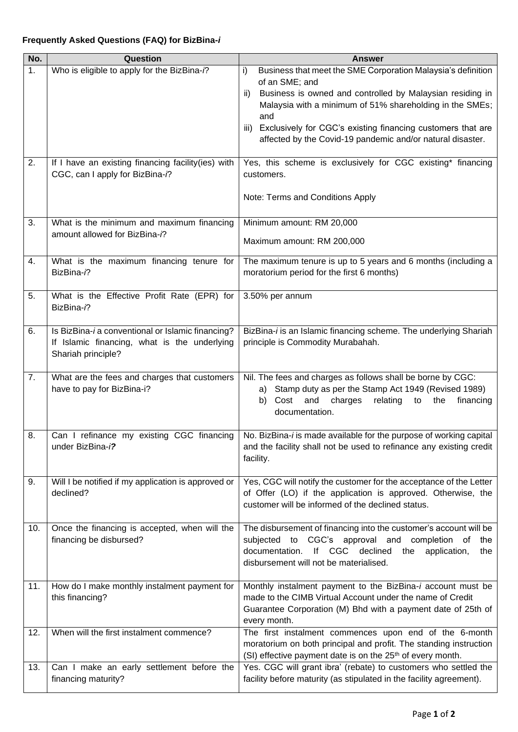| No. | Question                                                                                                                | Answer                                                                                                                                                                                                                                                                                                                                                        |
|-----|-------------------------------------------------------------------------------------------------------------------------|---------------------------------------------------------------------------------------------------------------------------------------------------------------------------------------------------------------------------------------------------------------------------------------------------------------------------------------------------------------|
| 1.  | Who is eligible to apply for the BizBina-i?                                                                             | Business that meet the SME Corporation Malaysia's definition<br>i)<br>of an SME; and<br>Business is owned and controlled by Malaysian residing in<br>ii)<br>Malaysia with a minimum of 51% shareholding in the SMEs;<br>and<br>iii) Exclusively for CGC's existing financing customers that are<br>affected by the Covid-19 pandemic and/or natural disaster. |
| 2.  | If I have an existing financing facility(ies) with<br>CGC, can I apply for BizBina-i?                                   | Yes, this scheme is exclusively for CGC existing* financing<br>customers.<br>Note: Terms and Conditions Apply                                                                                                                                                                                                                                                 |
| 3.  | What is the minimum and maximum financing<br>amount allowed for BizBina-i?                                              | Minimum amount: RM 20,000<br>Maximum amount: RM 200,000                                                                                                                                                                                                                                                                                                       |
| 4.  | What is the maximum financing tenure for<br>BizBina-i?                                                                  | The maximum tenure is up to 5 years and 6 months (including a<br>moratorium period for the first 6 months)                                                                                                                                                                                                                                                    |
| 5.  | What is the Effective Profit Rate (EPR) for<br>BizBina-i?                                                               | 3.50% per annum                                                                                                                                                                                                                                                                                                                                               |
| 6.  | Is BizBina-i a conventional or Islamic financing?<br>If Islamic financing, what is the underlying<br>Shariah principle? | BizBina-i is an Islamic financing scheme. The underlying Shariah<br>principle is Commodity Murabahah.                                                                                                                                                                                                                                                         |
| 7.  | What are the fees and charges that customers<br>have to pay for BizBina-i?                                              | Nil. The fees and charges as follows shall be borne by CGC:<br>Stamp duty as per the Stamp Act 1949 (Revised 1989)<br>a)<br>Cost<br>relating<br>the<br>b)<br>and<br>charges<br>to<br>financing<br>documentation.                                                                                                                                              |
| 8.  | Can I refinance my existing CGC financing<br>under BizBina-i?                                                           | No. BizBina-i is made available for the purpose of working capital<br>and the facility shall not be used to refinance any existing credit<br>facility.                                                                                                                                                                                                        |
| 9.  | Will I be notified if my application is approved or<br>declined?                                                        | Yes, CGC will notify the customer for the acceptance of the Letter<br>of Offer (LO) if the application is approved. Otherwise, the<br>customer will be informed of the declined status.                                                                                                                                                                       |
| 10. | Once the financing is accepted, when will the<br>financing be disbursed?                                                | The disbursement of financing into the customer's account will be<br>CGC's approval and completion<br>subjected<br>to<br>оf<br>the<br>declined<br>documentation.<br>lf<br><b>CGC</b><br>application,<br>the<br>the<br>disbursement will not be materialised.                                                                                                  |
| 11. | How do I make monthly instalment payment for<br>this financing?                                                         | Monthly instalment payment to the BizBina-i account must be<br>made to the CIMB Virtual Account under the name of Credit<br>Guarantee Corporation (M) Bhd with a payment date of 25th of<br>every month.                                                                                                                                                      |
| 12. | When will the first instalment commence?                                                                                | The first instalment commences upon end of the 6-month<br>moratorium on both principal and profit. The standing instruction<br>(SI) effective payment date is on the 25 <sup>th</sup> of every month.                                                                                                                                                         |
| 13. | Can I make an early settlement before the<br>financing maturity?                                                        | Yes. CGC will grant ibra' (rebate) to customers who settled the<br>facility before maturity (as stipulated in the facility agreement).                                                                                                                                                                                                                        |